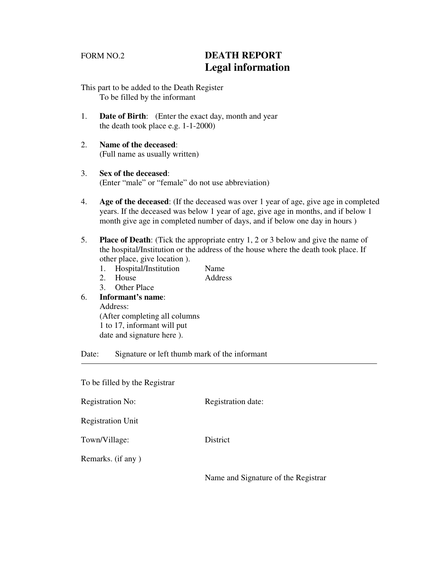# FORM NO.2 **DEATH REPORT Legal information**

- This part to be added to the Death Register To be filled by the informant
- 1. **Date of Birth**: (Enter the exact day, month and year the death took place e.g. 1-1-2000)
- 2. **Name of the deceased**: (Full name as usually written)
- 3. **Sex of the deceased**: (Enter "male" or "female" do not use abbreviation)
- 4. **Age of the deceased**: (If the deceased was over 1 year of age, give age in completed years. If the deceased was below 1 year of age, give age in months, and if below 1 month give age in completed number of days, and if below one day in hours )
- 5. **Place of Death**: (Tick the appropriate entry 1, 2 or 3 below and give the name of the hospital/Institution or the address of the house where the death took place. If other place, give location ).
	- 1. Hospital/Institution Name
	- 2. House Address
	- 3. Other Place

#### 6. **Informant's name**: Address: (After completing all columns 1 to 17, informant will put

date and signature here ).

Date: Signature or left thumb mark of the informant

To be filled by the Registrar

Registration No: Registration date:

Registration Unit

Town/Village: District

Remarks. (if any )

Name and Signature of the Registrar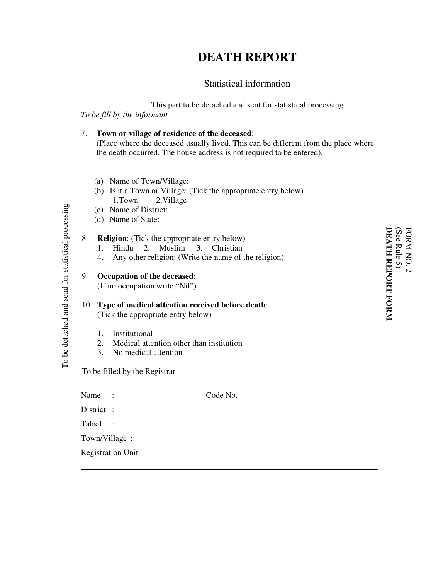# **DEATH REPORT**

# Statistical information

This part to be detached and sent for statistical processing *To be fill by the informant*

#### 7. **Town or village of residence of the deceased**: (Place where the deceased usually lived. This can be different from the place where the death occurred. The house address is not required to be entered).

- (a) Name of Town/Village:
- (b) Is it a Town or Village: (Tick the appropriate entry below) 1.Town 2.Village
- (c) Name of District:
- (d) Name of State:

#### 8. **Religion**: (Tick the appropriate entry below)

- 1. Hindu 2. Muslim 3. Christian
- 4. Any other religion: (Write the name of the religion)

#### 9. **Occupation of the deceased**: (If no occupation write "Nil")

### 10. **Type of medical attention received before death**: (Tick the appropriate entry below)

- 1. Institutional
- 2. Medical attention other than institution
- 3. No medical attention

To be filled by the Registrar

Name : Code No. District : Tahsil : Town/Village : Registration Unit :

**M**